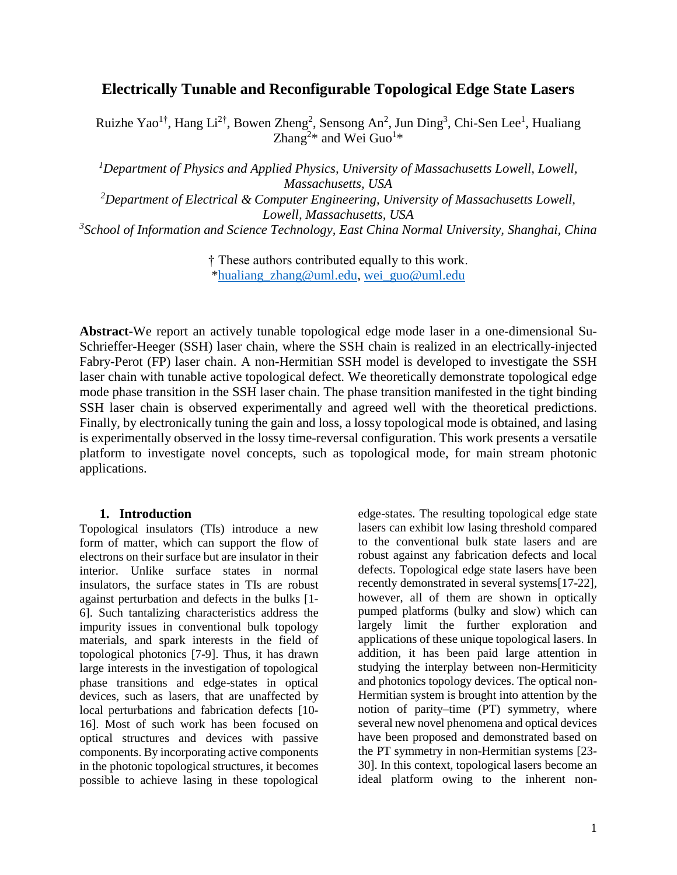# **Electrically Tunable and Reconfigurable Topological Edge State Lasers**

Ruizhe Yao<sup>1†</sup>, Hang Li<sup>2†</sup>, Bowen Zheng<sup>2</sup>, Sensong An<sup>2</sup>, Jun Ding<sup>3</sup>, Chi-Sen Lee<sup>1</sup>, Hualiang Zhang<sup>2\*</sup> and Wei Guo<sup>1\*</sup>

*<sup>1</sup>Department of Physics and Applied Physics, University of Massachusetts Lowell, Lowell, Massachusetts, USA*

*<sup>2</sup>Department of Electrical & Computer Engineering, University of Massachusetts Lowell, Lowell, Massachusetts, USA*

*3 School of Information and Science Technology, East China Normal University, Shanghai, China*

† These authors contributed equally to this work. [\\*hualiang\\_zhang@uml.edu,](mailto:hualiang_zhang@uml.edu) [wei\\_guo@uml.edu](mailto:hujuejun@mit.edu)

**Abstract-**We report an actively tunable topological edge mode laser in a one-dimensional Su-Schrieffer-Heeger (SSH) laser chain, where the SSH chain is realized in an electrically-injected Fabry-Perot (FP) laser chain. A non-Hermitian SSH model is developed to investigate the SSH laser chain with tunable active topological defect. We theoretically demonstrate topological edge mode phase transition in the SSH laser chain. The phase transition manifested in the tight binding SSH laser chain is observed experimentally and agreed well with the theoretical predictions. Finally, by electronically tuning the gain and loss, a lossy topological mode is obtained, and lasing is experimentally observed in the lossy time-reversal configuration. This work presents a versatile platform to investigate novel concepts, such as topological mode, for main stream photonic applications.

#### **1. Introduction**

Topological insulators (TIs) introduce a new form of matter, which can support the flow of electrons on their surface but are insulator in their interior. Unlike surface states in normal insulators, the surface states in TIs are robust against perturbation and defects in the bulks [1- 6]. Such tantalizing characteristics address the impurity issues in conventional bulk topology materials, and spark interests in the field of topological photonics [7-9]. Thus, it has drawn large interests in the investigation of topological phase transitions and edge-states in optical devices, such as lasers, that are unaffected by local perturbations and fabrication defects [10- 16]. Most of such work has been focused on optical structures and devices with passive components. By incorporating active components in the photonic topological structures, it becomes possible to achieve lasing in these topological

edge-states. The resulting topological edge state lasers can exhibit low lasing threshold compared to the conventional bulk state lasers and are robust against any fabrication defects and local defects. Topological edge state lasers have been recently demonstrated in several systems[17-22], however, all of them are shown in optically pumped platforms (bulky and slow) which can largely limit the further exploration and applications of these unique topological lasers. In addition, it has been paid large attention in studying the interplay between non-Hermiticity and photonics topology devices. The optical non-Hermitian system is brought into attention by the notion of parity–time (PT) symmetry, where several new novel phenomena and optical devices have been proposed and demonstrated based on the PT symmetry in non-Hermitian systems [23- 30]. In this context, topological lasers become an ideal platform owing to the inherent non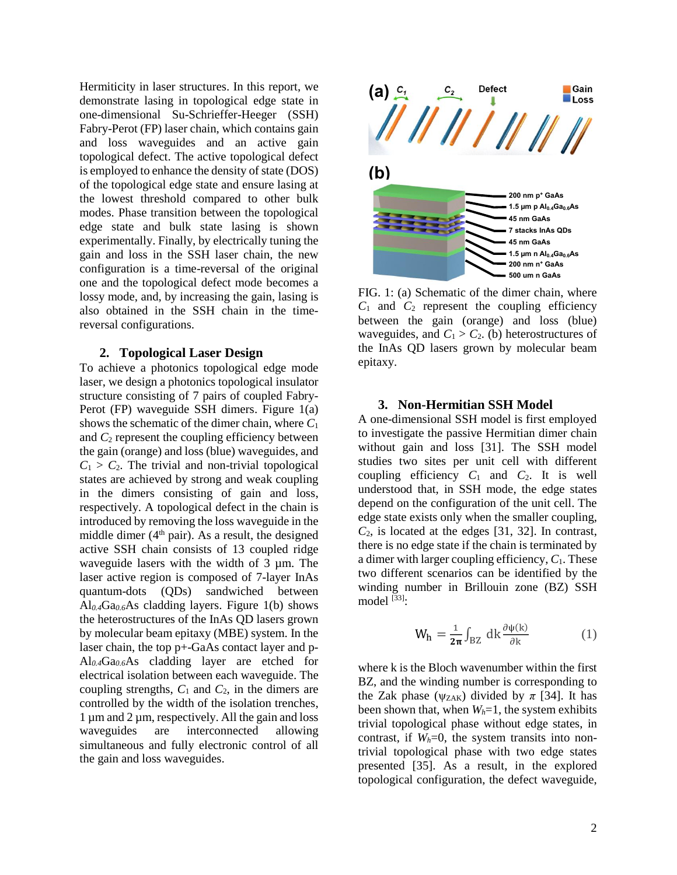Hermiticity in laser structures. In this report, we demonstrate lasing in topological edge state in one-dimensional Su-Schrieffer-Heeger (SSH) Fabry-Perot (FP) laser chain, which contains gain and loss waveguides and an active gain topological defect. The active topological defect is employed to enhance the density of state (DOS) of the topological edge state and ensure lasing at the lowest threshold compared to other bulk modes. Phase transition between the topological edge state and bulk state lasing is shown experimentally. Finally, by electrically tuning the gain and loss in the SSH laser chain, the new configuration is a time-reversal of the original one and the topological defect mode becomes a lossy mode, and, by increasing the gain, lasing is also obtained in the SSH chain in the timereversal configurations.

#### **2. Topological Laser Design**

To achieve a photonics topological edge mode laser, we design a photonics topological insulator structure consisting of 7 pairs of coupled Fabry-Perot (FP) waveguide SSH dimers. Figure 1(a) shows the schematic of the dimer chain, where *C*<sup>1</sup> and *C*<sup>2</sup> represent the coupling efficiency between the gain (orange) and loss (blue) waveguides, and  $C_1 > C_2$ . The trivial and non-trivial topological states are achieved by strong and weak coupling in the dimers consisting of gain and loss, respectively. A topological defect in the chain is introduced by removing the loss waveguide in the middle dimer  $(4<sup>th</sup> pair)$ . As a result, the designed active SSH chain consists of 13 coupled ridge waveguide lasers with the width of 3  $\mu$ m. The laser active region is composed of 7-layer InAs quantum-dots (QDs) sandwiched between Al*0.4*Ga*0.6*As cladding layers. Figure 1(b) shows the heterostructures of the InAs QD lasers grown by molecular beam epitaxy (MBE) system. In the laser chain, the top p+-GaAs contact layer and p-Al*0.4*Ga*0.6*As cladding layer are etched for electrical isolation between each waveguide. The coupling strengths,  $C_1$  and  $C_2$ , in the dimers are controlled by the width of the isolation trenches, 1 µm and 2 µm, respectively. All the gain and loss waveguides are interconnected allowing simultaneous and fully electronic control of all the gain and loss waveguides.



FIG. 1: (a) Schematic of the dimer chain, where  $C_1$  and  $C_2$  represent the coupling efficiency between the gain (orange) and loss (blue) waveguides, and  $C_1 > C_2$ . (b) heterostructures of the InAs QD lasers grown by molecular beam epitaxy.

#### **3. Non-Hermitian SSH Model**

A one-dimensional SSH model is first employed to investigate the passive Hermitian dimer chain without gain and loss [31]. The SSH model studies two sites per unit cell with different coupling efficiency  $C_1$  and  $C_2$ . It is well understood that, in SSH mode, the edge states depend on the configuration of the unit cell. The edge state exists only when the smaller coupling,  $C_2$ , is located at the edges [31, 32]. In contrast, there is no edge state if the chain is terminated by a dimer with larger coupling efficiency,  $C_1$ . These two different scenarios can be identified by the winding number in Brillouin zone (BZ) SSH model  $^{[33]}\cdot$ 

$$
W_h = \frac{1}{2\pi} \int_{BZ} dk \frac{\partial \psi(k)}{\partial k} \tag{1}
$$

where k is the Bloch wavenumber within the first BZ, and the winding number is corresponding to the Zak phase ( $\psi$ <sub>ZAK</sub>) divided by  $\pi$  [34]. It has been shown that, when *Wh*=1, the system exhibits trivial topological phase without edge states, in contrast, if  $W_h=0$ , the system transits into nontrivial topological phase with two edge states presented [35]. As a result, in the explored topological configuration, the defect waveguide,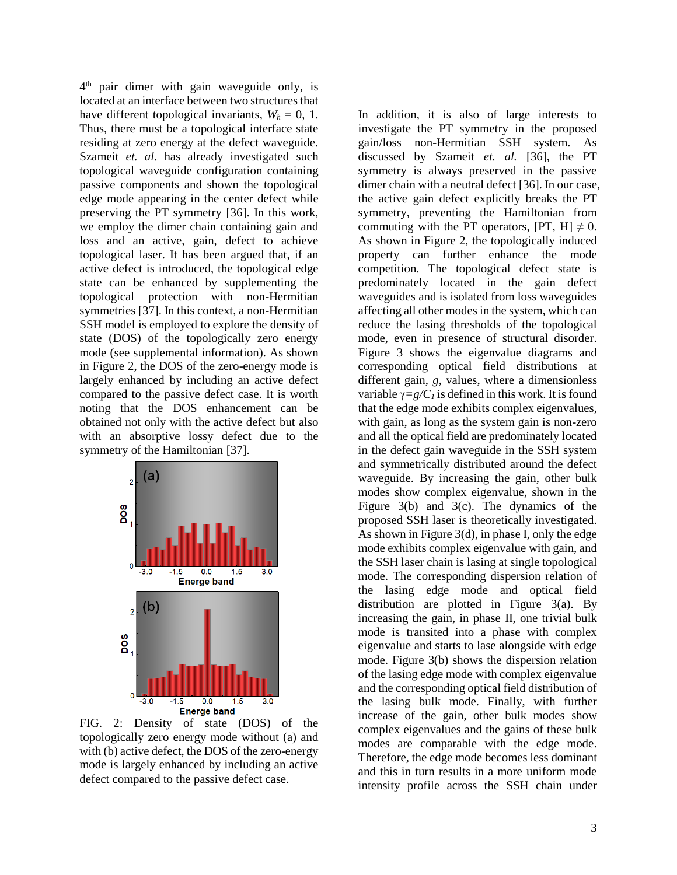4 th pair dimer with gain waveguide only, is located at an interface between two structures that have different topological invariants,  $W_h = 0$ , 1. Thus, there must be a topological interface state residing at zero energy at the defect waveguide. Szameit *et. al.* has already investigated such topological waveguide configuration containing passive components and shown the topological edge mode appearing in the center defect while preserving the PT symmetry [36]. In this work, we employ the dimer chain containing gain and loss and an active, gain, defect to achieve topological laser. It has been argued that, if an active defect is introduced, the topological edge state can be enhanced by supplementing the topological protection with non-Hermitian symmetries [37]. In this context, a non-Hermitian SSH model is employed to explore the density of state (DOS) of the topologically zero energy mode (see supplemental information). As shown in Figure 2, the DOS of the zero-energy mode is largely enhanced by including an active defect compared to the passive defect case. It is worth noting that the DOS enhancement can be obtained not only with the active defect but also with an absorptive lossy defect due to the symmetry of the Hamiltonian [37].



FIG. 2: Density of state (DOS) of the topologically zero energy mode without (a) and with (b) active defect, the DOS of the zero-energy mode is largely enhanced by including an active defect compared to the passive defect case.

In addition, it is also of large interests to investigate the PT symmetry in the proposed gain/loss non-Hermitian SSH system. As discussed by Szameit *et. al.* [36], the PT symmetry is always preserved in the passive dimer chain with a neutral defect [36]. In our case, the active gain defect explicitly breaks the PT symmetry, preventing the Hamiltonian from commuting with the PT operators,  $[PT, H] \neq 0$ . As shown in Figure 2, the topologically induced property can further enhance the mode competition. The topological defect state is predominately located in the gain defect waveguides and is isolated from loss waveguides affecting all other modes in the system, which can reduce the lasing thresholds of the topological mode, even in presence of structural disorder. Figure 3 shows the eigenvalue diagrams and corresponding optical field distributions at different gain, *g*, values, where a dimensionless variable  $\gamma = g/C_I$  is defined in this work. It is found that the edge mode exhibits complex eigenvalues, with gain, as long as the system gain is non-zero and all the optical field are predominately located in the defect gain waveguide in the SSH system and symmetrically distributed around the defect waveguide. By increasing the gain, other bulk modes show complex eigenvalue, shown in the Figure 3(b) and 3(c). The dynamics of the proposed SSH laser is theoretically investigated. As shown in Figure 3(d), in phase I, only the edge mode exhibits complex eigenvalue with gain, and the SSH laser chain is lasing at single topological mode. The corresponding dispersion relation of the lasing edge mode and optical field distribution are plotted in Figure 3(a). By increasing the gain, in phase II, one trivial bulk mode is transited into a phase with complex eigenvalue and starts to lase alongside with edge mode. Figure 3(b) shows the dispersion relation of the lasing edge mode with complex eigenvalue and the corresponding optical field distribution of the lasing bulk mode. Finally, with further increase of the gain, other bulk modes show complex eigenvalues and the gains of these bulk modes are comparable with the edge mode. Therefore, the edge mode becomes less dominant and this in turn results in a more uniform mode intensity profile across the SSH chain under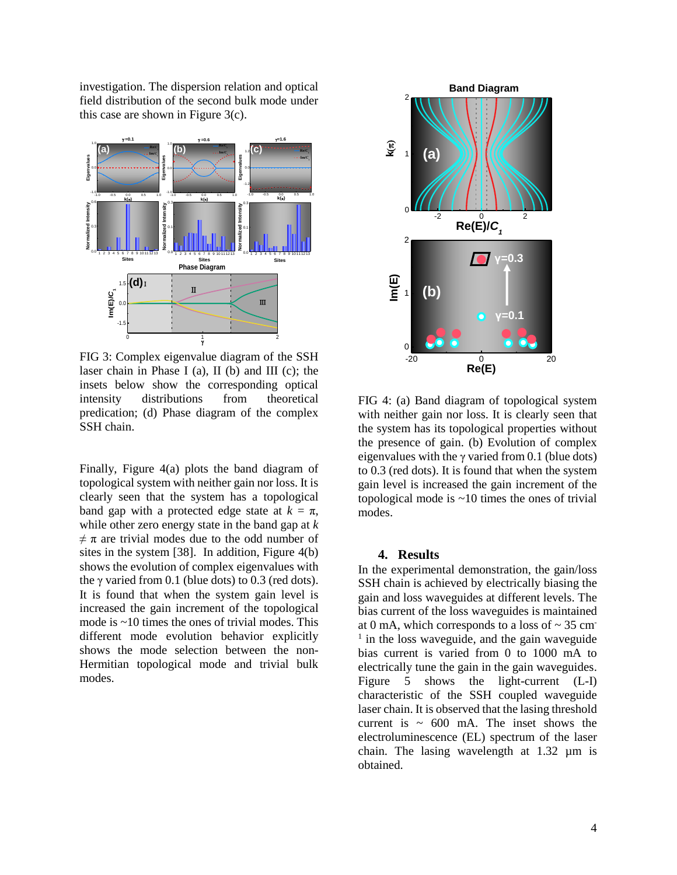investigation. The dispersion relation and optical field distribution of the second bulk mode under this case are shown in Figure 3(c).



FIG 3: Complex eigenvalue diagram of the SSH laser chain in Phase I (a), II (b) and III (c); the insets below show the corresponding optical intensity distributions from theoretical predication; (d) Phase diagram of the complex SSH chain.

Finally, Figure 4(a) plots the band diagram of topological system with neither gain nor loss. It is clearly seen that the system has a topological band gap with a protected edge state at  $k = \pi$ , while other zero energy state in the band gap at *k*  $\neq \pi$  are trivial modes due to the odd number of sites in the system [38]. In addition, Figure 4(b) shows the evolution of complex eigenvalues with the  $\gamma$  varied from 0.1 (blue dots) to 0.3 (red dots). It is found that when the system gain level is increased the gain increment of the topological mode is ~10 times the ones of trivial modes. This different mode evolution behavior explicitly shows the mode selection between the non-Hermitian topological mode and trivial bulk modes.



FIG 4: (a) Band diagram of topological system with neither gain nor loss. It is clearly seen that the system has its topological properties without the presence of gain. (b) Evolution of complex eigenvalues with the  $\gamma$  varied from 0.1 (blue dots) to 0.3 (red dots). It is found that when the system gain level is increased the gain increment of the topological mode is  $\sim$ 10 times the ones of trivial modes.

### **4. Results**

In the experimental demonstration, the gain/loss SSH chain is achieved by electrically biasing the gain and loss waveguides at different levels. The bias current of the loss waveguides is maintained at 0 mA, which corresponds to a loss of  $\sim$  35 cm <sup>1</sup> in the loss waveguide, and the gain waveguide bias current is varied from 0 to 1000 mA to electrically tune the gain in the gain waveguides. Figure 5 shows the light-current (L-I) characteristic of the SSH coupled waveguide laser chain. It is observed that the lasing threshold current is  $\sim 600$  mA. The inset shows the electroluminescence (EL) spectrum of the laser chain. The lasing wavelength at 1.32 µm is obtained.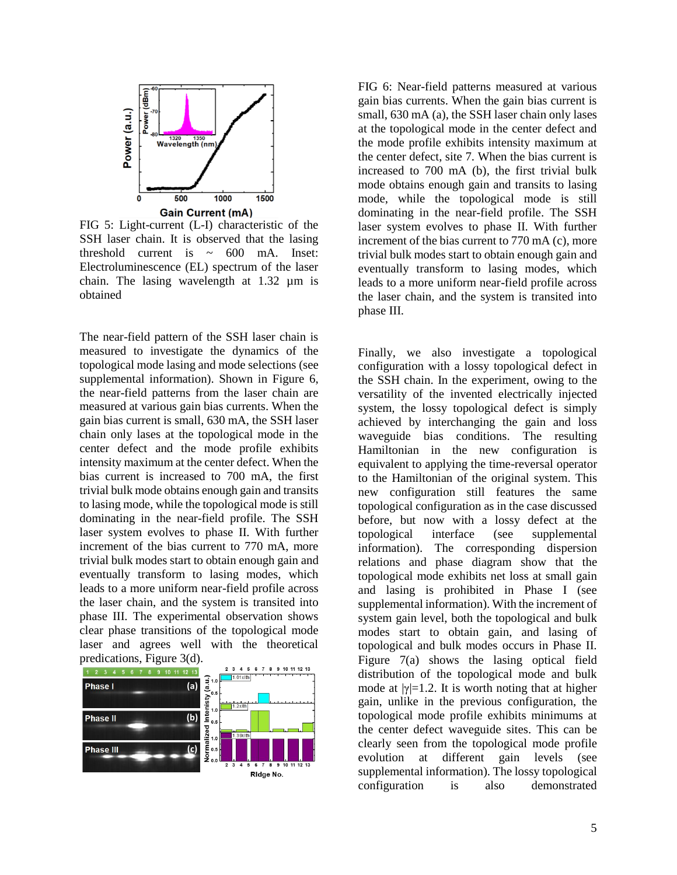

FIG 5: Light-current (L-I) characteristic of the SSH laser chain. It is observed that the lasing threshold current is  $\sim$  600 mA. Inset: Electroluminescence (EL) spectrum of the laser chain. The lasing wavelength at 1.32 µm is obtained

The near-field pattern of the SSH laser chain is measured to investigate the dynamics of the topological mode lasing and mode selections (see supplemental information). Shown in Figure 6, the near-field patterns from the laser chain are measured at various gain bias currents. When the gain bias current is small, 630 mA, the SSH laser chain only lases at the topological mode in the center defect and the mode profile exhibits intensity maximum at the center defect. When the bias current is increased to 700 mA, the first trivial bulk mode obtains enough gain and transits to lasing mode, while the topological mode is still dominating in the near-field profile. The SSH laser system evolves to phase II. With further increment of the bias current to 770 mA, more trivial bulk modes start to obtain enough gain and eventually transform to lasing modes, which leads to a more uniform near-field profile across the laser chain, and the system is transited into phase III. The experimental observation shows clear phase transitions of the topological mode laser and agrees well with the theoretical predications, Figure 3(d).



FIG 6: Near-field patterns measured at various gain bias currents. When the gain bias current is small, 630 mA (a), the SSH laser chain only lases at the topological mode in the center defect and the mode profile exhibits intensity maximum at the center defect, site 7. When the bias current is increased to 700 mA (b), the first trivial bulk mode obtains enough gain and transits to lasing mode, while the topological mode is still dominating in the near-field profile. The SSH laser system evolves to phase II. With further increment of the bias current to 770 mA (c), more trivial bulk modes start to obtain enough gain and eventually transform to lasing modes, which leads to a more uniform near-field profile across the laser chain, and the system is transited into phase III.

Finally, we also investigate a topological configuration with a lossy topological defect in the SSH chain. In the experiment, owing to the versatility of the invented electrically injected system, the lossy topological defect is simply achieved by interchanging the gain and loss waveguide bias conditions. The resulting Hamiltonian in the new configuration is equivalent to applying the time-reversal operator to the Hamiltonian of the original system. This new configuration still features the same topological configuration as in the case discussed before, but now with a lossy defect at the topological interface (see supplemental information). The corresponding dispersion relations and phase diagram show that the topological mode exhibits net loss at small gain and lasing is prohibited in Phase I (see supplemental information). With the increment of system gain level, both the topological and bulk modes start to obtain gain, and lasing of topological and bulk modes occurs in Phase II. Figure 7(a) shows the lasing optical field distribution of the topological mode and bulk mode at  $|\gamma|=1.2$ . It is worth noting that at higher gain, unlike in the previous configuration, the topological mode profile exhibits minimums at the center defect waveguide sites. This can be clearly seen from the topological mode profile evolution at different gain levels (see supplemental information). The lossy topological configuration is also demonstrated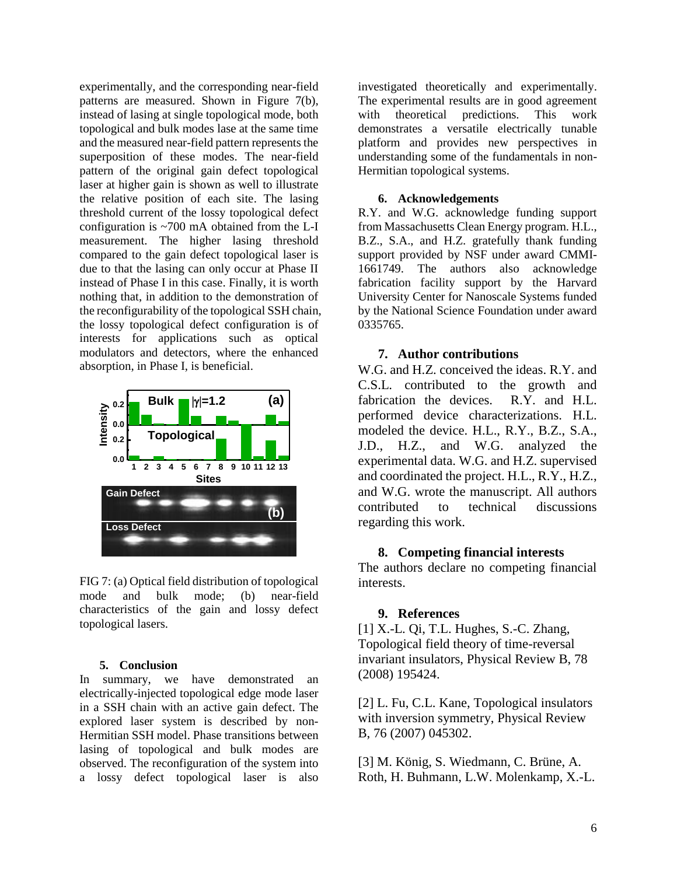experimentally, and the corresponding near-field patterns are measured. Shown in Figure 7(b), instead of lasing at single topological mode, both topological and bulk modes lase at the same time and the measured near-field pattern represents the superposition of these modes. The near-field pattern of the original gain defect topological laser at higher gain is shown as well to illustrate the relative position of each site. The lasing threshold current of the lossy topological defect configuration is ~700 mA obtained from the L-I measurement. The higher lasing threshold compared to the gain defect topological laser is due to that the lasing can only occur at Phase II instead of Phase I in this case. Finally, it is worth nothing that, in addition to the demonstration of the reconfigurability of the topological SSH chain, the lossy topological defect configuration is of interests for applications such as optical modulators and detectors, where the enhanced absorption, in Phase I, is beneficial.



FIG 7: (a) Optical field distribution of topological mode and bulk mode; (b) near-field characteristics of the gain and lossy defect topological lasers.

#### **5. Conclusion**

In summary, we have demonstrated an electrically-injected topological edge mode laser in a SSH chain with an active gain defect. The explored laser system is described by non-Hermitian SSH model. Phase transitions between lasing of topological and bulk modes are observed. The reconfiguration of the system into a lossy defect topological laser is also

investigated theoretically and experimentally. The experimental results are in good agreement with theoretical predictions. This work demonstrates a versatile electrically tunable platform and provides new perspectives in understanding some of the fundamentals in non-Hermitian topological systems.

## **6. Acknowledgements**

R.Y. and W.G. acknowledge funding support from Massachusetts Clean Energy program. H.L., B.Z., S.A., and H.Z. gratefully thank funding support provided by NSF under award CMMI-1661749. The authors also acknowledge fabrication facility support by the Harvard University Center for Nanoscale Systems funded by the National Science Foundation under award 0335765.

## **7. Author contributions**

W.G. and H.Z. conceived the ideas. R.Y. and C.S.L. contributed to the growth and fabrication the devices. R.Y. and H.L. performed device characterizations. H.L. modeled the device. H.L., R.Y., B.Z., S.A., J.D., H.Z., and W.G. analyzed the experimental data. W.G. and H.Z. supervised and coordinated the project. H.L., R.Y., H.Z., and W.G. wrote the manuscript. All authors contributed to technical discussions regarding this work.

## **8. Competing financial interests**

The authors declare no competing financial interests.

## **9. References**

[1] X.-L. Qi, T.L. Hughes, S.-C. Zhang, Topological field theory of time-reversal invariant insulators, Physical Review B, 78 (2008) 195424.

[2] L. Fu, C.L. Kane, Topological insulators with inversion symmetry, Physical Review B, 76 (2007) 045302.

[3] M. König, S. Wiedmann, C. Brüne, A. Roth, H. Buhmann, L.W. Molenkamp, X.-L.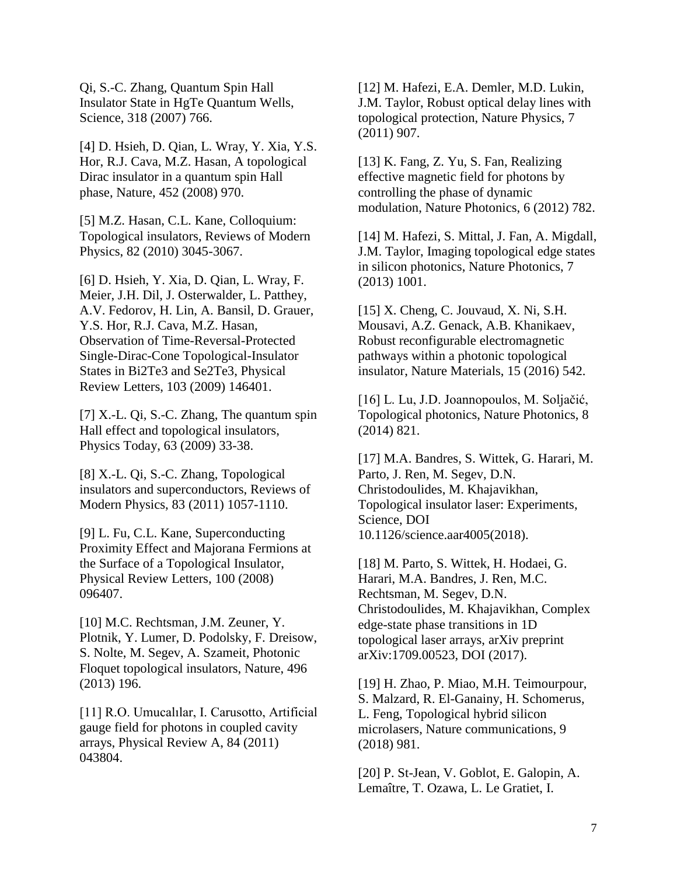Qi, S.-C. Zhang, Quantum Spin Hall Insulator State in HgTe Quantum Wells, Science, 318 (2007) 766.

[4] D. Hsieh, D. Qian, L. Wray, Y. Xia, Y.S. Hor, R.J. Cava, M.Z. Hasan, A topological Dirac insulator in a quantum spin Hall phase, Nature, 452 (2008) 970.

[5] M.Z. Hasan, C.L. Kane, Colloquium: Topological insulators, Reviews of Modern Physics, 82 (2010) 3045-3067.

[6] D. Hsieh, Y. Xia, D. Qian, L. Wray, F. Meier, J.H. Dil, J. Osterwalder, L. Patthey, A.V. Fedorov, H. Lin, A. Bansil, D. Grauer, Y.S. Hor, R.J. Cava, M.Z. Hasan, Observation of Time-Reversal-Protected Single-Dirac-Cone Topological-Insulator States in Bi2Te3 and Se2Te3, Physical Review Letters, 103 (2009) 146401.

[7] X.-L. Qi, S.-C. Zhang, The quantum spin Hall effect and topological insulators, Physics Today, 63 (2009) 33-38.

[8] X.-L. Qi, S.-C. Zhang, Topological insulators and superconductors, Reviews of Modern Physics, 83 (2011) 1057-1110.

[9] L. Fu, C.L. Kane, Superconducting Proximity Effect and Majorana Fermions at the Surface of a Topological Insulator, Physical Review Letters, 100 (2008) 096407.

[10] M.C. Rechtsman, J.M. Zeuner, Y. Plotnik, Y. Lumer, D. Podolsky, F. Dreisow, S. Nolte, M. Segev, A. Szameit, Photonic Floquet topological insulators, Nature, 496 (2013) 196.

[11] R.O. Umucalılar, I. Carusotto, Artificial gauge field for photons in coupled cavity arrays, Physical Review A, 84 (2011) 043804.

[12] M. Hafezi, E.A. Demler, M.D. Lukin, J.M. Taylor, Robust optical delay lines with topological protection, Nature Physics, 7 (2011) 907.

[13] K. Fang, Z. Yu, S. Fan, Realizing effective magnetic field for photons by controlling the phase of dynamic modulation, Nature Photonics, 6 (2012) 782.

[14] M. Hafezi, S. Mittal, J. Fan, A. Migdall, J.M. Taylor, Imaging topological edge states in silicon photonics, Nature Photonics, 7 (2013) 1001.

[15] X. Cheng, C. Jouvaud, X. Ni, S.H. Mousavi, A.Z. Genack, A.B. Khanikaev, Robust reconfigurable electromagnetic pathways within a photonic topological insulator, Nature Materials, 15 (2016) 542.

[16] L. Lu, J.D. Joannopoulos, M. Soljačić, Topological photonics, Nature Photonics, 8 (2014) 821.

[17] M.A. Bandres, S. Wittek, G. Harari, M. Parto, J. Ren, M. Segev, D.N. Christodoulides, M. Khajavikhan, Topological insulator laser: Experiments, Science, DOI 10.1126/science.aar4005(2018).

[18] M. Parto, S. Wittek, H. Hodaei, G. Harari, M.A. Bandres, J. Ren, M.C. Rechtsman, M. Segev, D.N. Christodoulides, M. Khajavikhan, Complex edge-state phase transitions in 1D topological laser arrays, arXiv preprint arXiv:1709.00523, DOI (2017).

[19] H. Zhao, P. Miao, M.H. Teimourpour, S. Malzard, R. El-Ganainy, H. Schomerus, L. Feng, Topological hybrid silicon microlasers, Nature communications, 9 (2018) 981.

[20] P. St-Jean, V. Goblot, E. Galopin, A. Lemaître, T. Ozawa, L. Le Gratiet, I.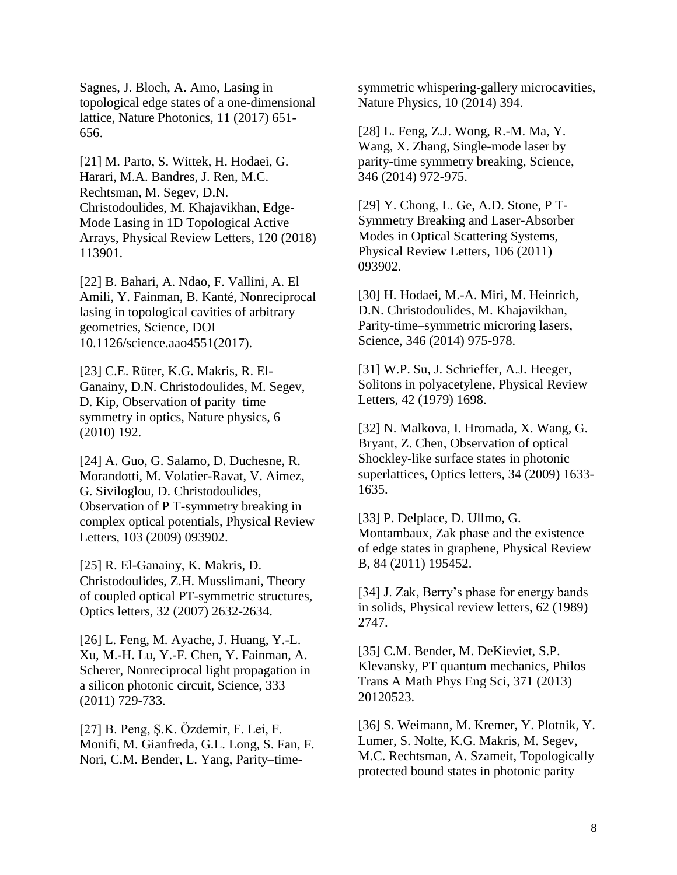Sagnes, J. Bloch, A. Amo, Lasing in topological edge states of a one-dimensional lattice, Nature Photonics, 11 (2017) 651- 656.

[21] M. Parto, S. Wittek, H. Hodaei, G. Harari, M.A. Bandres, J. Ren, M.C. Rechtsman, M. Segev, D.N. Christodoulides, M. Khajavikhan, Edge-Mode Lasing in 1D Topological Active Arrays, Physical Review Letters, 120 (2018) 113901.

[22] B. Bahari, A. Ndao, F. Vallini, A. El Amili, Y. Fainman, B. Kanté, Nonreciprocal lasing in topological cavities of arbitrary geometries, Science, DOI 10.1126/science.aao4551(2017).

[23] C.E. Rüter, K.G. Makris, R. El-Ganainy, D.N. Christodoulides, M. Segev, D. Kip, Observation of parity–time symmetry in optics, Nature physics, 6 (2010) 192.

[24] A. Guo, G. Salamo, D. Duchesne, R. Morandotti, M. Volatier-Ravat, V. Aimez, G. Siviloglou, D. Christodoulides, Observation of P T-symmetry breaking in complex optical potentials, Physical Review Letters, 103 (2009) 093902.

[25] R. El-Ganainy, K. Makris, D. Christodoulides, Z.H. Musslimani, Theory of coupled optical PT-symmetric structures, Optics letters, 32 (2007) 2632-2634.

[26] L. Feng, M. Ayache, J. Huang, Y.-L. Xu, M.-H. Lu, Y.-F. Chen, Y. Fainman, A. Scherer, Nonreciprocal light propagation in a silicon photonic circuit, Science, 333 (2011) 729-733.

[27] B. Peng, Ş.K. Özdemir, F. Lei, F. Monifi, M. Gianfreda, G.L. Long, S. Fan, F. Nori, C.M. Bender, L. Yang, Parity–timesymmetric whispering-gallery microcavities, Nature Physics, 10 (2014) 394.

[28] L. Feng, Z.J. Wong, R.-M. Ma, Y. Wang, X. Zhang, Single-mode laser by parity-time symmetry breaking, Science, 346 (2014) 972-975.

[29] Y. Chong, L. Ge, A.D. Stone, P T-Symmetry Breaking and Laser-Absorber Modes in Optical Scattering Systems, Physical Review Letters, 106 (2011) 093902.

[30] H. Hodaei, M.-A. Miri, M. Heinrich, D.N. Christodoulides, M. Khajavikhan, Parity-time–symmetric microring lasers, Science, 346 (2014) 975-978.

[31] W.P. Su, J. Schrieffer, A.J. Heeger, Solitons in polyacetylene, Physical Review Letters, 42 (1979) 1698.

[32] N. Malkova, I. Hromada, X. Wang, G. Bryant, Z. Chen, Observation of optical Shockley-like surface states in photonic superlattices, Optics letters, 34 (2009) 1633- 1635.

[33] P. Delplace, D. Ullmo, G. Montambaux, Zak phase and the existence of edge states in graphene, Physical Review B, 84 (2011) 195452.

[34] J. Zak, Berry's phase for energy bands in solids, Physical review letters, 62 (1989) 2747.

[35] C.M. Bender, M. DeKieviet, S.P. Klevansky, PT quantum mechanics, Philos Trans A Math Phys Eng Sci, 371 (2013) 20120523.

[36] S. Weimann, M. Kremer, Y. Plotnik, Y. Lumer, S. Nolte, K.G. Makris, M. Segev, M.C. Rechtsman, A. Szameit, Topologically protected bound states in photonic parity–